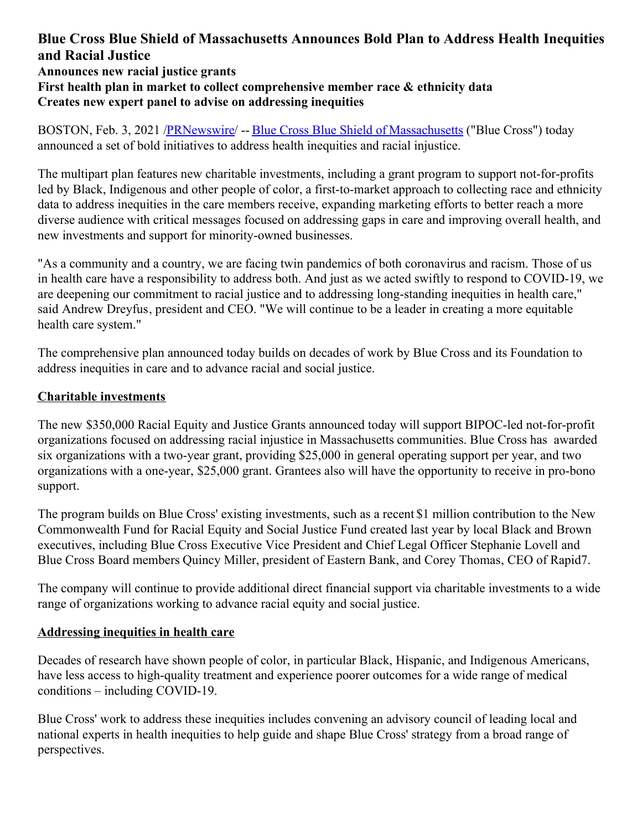## **Blue Cross Blue Shield of Massachusetts Announces Bold Plan to Address Health Inequities and Racial Justice Announces new racial justice grants**

# **First health plan in market to collect comprehensive member race & ethnicity data Creates new expert panel to advise on addressing inequities**

BOSTON, Feb. 3, 2021 [/PRNewswire](http://www.prnewswire.com/)/ -- Blue Cross Blue Shield of [Massachusetts](https://c212.net/c/link/?t=0&l=en&o=3055871-1&h=864258710&u=https%3A%2F%2Fwww.bluecrossma.org%2F&a=Blue+Cross+Blue+Shield+of+Massachusetts) ("Blue Cross") today announced a set of bold initiatives to address health inequities and racial injustice.

The multipart plan features new charitable investments, including a grant program to support not-for-profits led by Black, Indigenous and other people of color, a first-to-market approach to collecting race and ethnicity data to address inequities in the care members receive, expanding marketing efforts to better reach a more diverse audience with critical messages focused on addressing gaps in care and improving overall health, and new investments and support for minority-owned businesses.

"As a community and a country, we are facing twin pandemics of both coronavirus and racism. Those of us in health care have a responsibility to address both. And just as we acted swiftly to respond to COVID-19, we are deepening our commitment to racial justice and to addressing long-standing inequities in health care," said Andrew Dreyfus, president and CEO. "We will continue to be a leader in creating a more equitable health care system."

The comprehensive plan announced today builds on decades of work by Blue Cross and its Foundation to address inequities in care and to advance racial and social justice.

### **Charitable investments**

The new \$350,000 Racial Equity and Justice Grants announced today will support BIPOC-led not-for-profit organizations focused on addressing racial injustice in Massachusetts communities. Blue Cross has awarded six organizations with a two-year grant, providing \$25,000 in general operating support per year, and two organizations with a one-year, \$25,000 grant. Grantees also will have the opportunity to receive in pro-bono support.

The program builds on Blue Cross' existing investments, such as a recent \$1 million contribution to the New Commonwealth Fund for Racial Equity and Social Justice Fund created last year by local Black and Brown executives, including Blue Cross Executive Vice President and Chief Legal Officer Stephanie Lovell and Blue Cross Board members Quincy Miller, president of Eastern Bank, and Corey Thomas, CEO of Rapid7.

The company will continue to provide additional direct financial support via charitable investments to a wide range of organizations working to advance racial equity and social justice.

### **Addressing inequities in health care**

Decades of research have shown people of color, in particular Black, Hispanic, and Indigenous Americans, have less access to high-quality treatment and experience poorer outcomes for a wide range of medical conditions – including COVID-19.

Blue Cross' work to address these inequities includes convening an advisory council of leading local and national experts in health inequities to help guide and shape Blue Cross' strategy from a broad range of perspectives.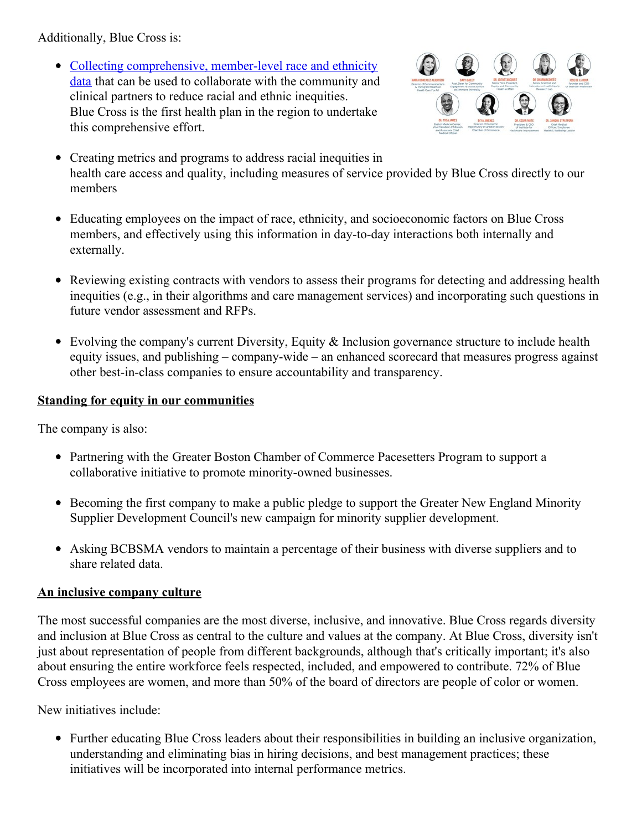Additionally, Blue Cross is:

• Collecting [comprehensive,](https://c212.net/c/link/?t=0&l=en&o=3055871-1&h=4066209586&u=https%3A%2F%2Fcoverage.bluecrossma.com%2Farticle%2Fhow-one-health-plan-working-address-inequities-health-care&a=Collecting+comprehensive%2C+member-level+race+and+ethnicity+data) member-level race and ethnicity data that can be used to collaborate with the community and clinical partners to reduce racial and ethnic inequities. Blue Cross is the first health plan in the region to undertake this comprehensive effort.



- Creating metrics and programs to address racial inequities in health care access and quality, including measures of service provided by Blue Cross directly to our members
- Educating employees on the impact of race, ethnicity, and socioeconomic factors on Blue Cross members, and effectively using this information in day-to-day interactions both internally and externally.
- Reviewing existing contracts with vendors to assess their programs for detecting and addressing health inequities (e.g., in their algorithms and care management services) and incorporating such questions in future vendor assessment and RFPs.
- Evolving the company's current Diversity, Equity & Inclusion governance structure to include health equity issues, and publishing – company-wide – an enhanced scorecard that measures progress against other best-in-class companies to ensure accountability and transparency.

#### **Standing for equity in our communities**

The company is also:

- Partnering with the Greater Boston Chamber of Commerce Pacesetters Program to support a collaborative initiative to promote minority-owned businesses.
- Becoming the first company to make a public pledge to support the Greater New England Minority Supplier Development Council's new campaign for minority supplier development.
- Asking BCBSMA vendors to maintain a percentage of their business with diverse suppliers and to share related data.

#### **An inclusive company culture**

The most successful companies are the most diverse, inclusive, and innovative. Blue Cross regards diversity and inclusion at Blue Cross as central to the culture and values at the company. At Blue Cross, diversity isn't just about representation of people from different backgrounds, although that's critically important; it's also about ensuring the entire workforce feels respected, included, and empowered to contribute. 72% of Blue Cross employees are women, and more than 50% of the board of directors are people of color or women.

New initiatives include:

Further educating Blue Cross leaders about their responsibilities in building an inclusive organization, understanding and eliminating bias in hiring decisions, and best management practices; these initiatives will be incorporated into internal performance metrics.